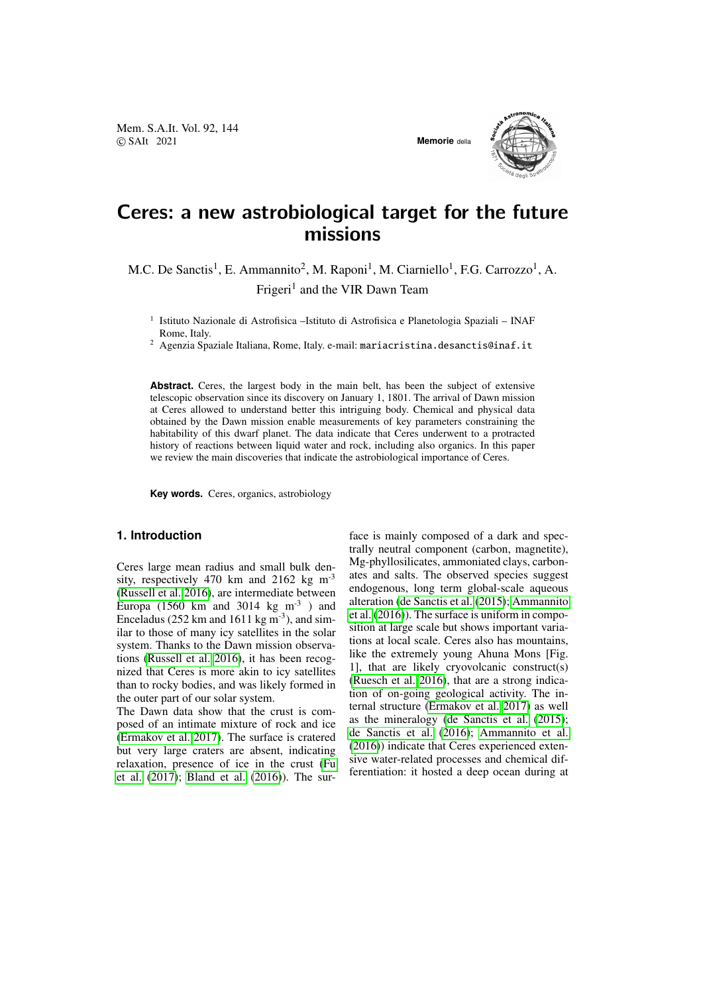Mem. S.A.It. Vol. 92, 144 © SAIt 2021 **Memorie** della



# Ceres: a new astrobiological target for the future missions

M.C. De Sanctis<sup>1</sup>, E. Ammannito<sup>2</sup>, M. Raponi<sup>1</sup>, M. Ciarniello<sup>1</sup>, F.G. Carrozzo<sup>1</sup>, A. Frigeri<sup>1</sup> and the VIR Dawn Team

<sup>1</sup> Istituto Nazionale di Astrofisica -Istituto di Astrofisica e Planetologia Spaziali - INAF Rome, Italy.

<sup>2</sup> Agenzia Spaziale Italiana, Rome, Italy. e-mail: mariacristina.desanctis@inaf.it

Abstract. Ceres, the largest body in the main belt, has been the subject of extensive telescopic observation since its discovery on January 1, 1801. The arrival of Dawn mission at Ceres allowed to understand better this intriguing body. Chemical and physical data obtained by the Dawn mission enable measurements of key parameters constraining the habitability of this dwarf planet. The data indicate that Ceres underwent to a protracted history of reactions between liquid water and rock, including also organics. In this paper we review the main discoveries that indicate the astrobiological importance of Ceres.

**Key words.** Ceres, organics, astrobiology

#### **1. Introduction**

Ceres large mean radius and small bulk density, respectively 470 km and 2162 kg  $m^{-3}$ [\(Russell et al. 2016\)](#page-3-0), are intermediate between Europa (1560 km and 3014 kg  $m^{-3}$  ) and Enceladus (252 km and 1611 kg  $m^{-3}$ ), and similar to those of many icy satellites in the solar system. Thanks to the Dawn mission observations [\(Russell et al. 2016\)](#page-3-0), it has been recognized that Ceres is more akin to icy satellites than to rocky bodies, and was likely formed in the outer part of our solar system.

The Dawn data show that the crust is composed of an intimate mixture of rock and ice [\(Ermakov et al. 2017\)](#page-3-1). The surface is cratered but very large craters are absent, indicating relaxation, presence of ice in the crust [\(Fu](#page-3-2) [et al.](#page-3-2) [\(2017\)](#page-3-2); [Bland et al.](#page-3-3) [\(2016\)](#page-3-3)). The surface is mainly composed of a dark and spectrally neutral component (carbon, magnetite), Mg-phyllosilicates, ammoniated clays, carbonates and salts. The observed species suggest endogenous, long term global-scale aqueous alteration [\(de Sanctis et al.](#page-3-4) [\(2015\)](#page-3-4); [Ammannito](#page-3-5) [et al.](#page-3-5) [\(2016\)](#page-3-5)). The surface is uniform in composition at large scale but shows important variations at local scale. Ceres also has mountains, like the extremely young Ahuna Mons [Fig. 1], that are likely cryovolcanic construct(s) [\(Ruesch et al. 2016\)](#page-3-6), that are a strong indication of on-going geological activity. The internal structure [\(Ermakov et al. 2017\)](#page-3-1) as well as the mineralogy [\(de Sanctis et al.](#page-3-4) [\(2015\)](#page-3-4); [de Sanctis et al.](#page-3-7) [\(2016\)](#page-3-7); [Ammannito et al.](#page-3-5) [\(2016\)](#page-3-5)) indicate that Ceres experienced extensive water-related processes and chemical differentiation: it hosted a deep ocean during at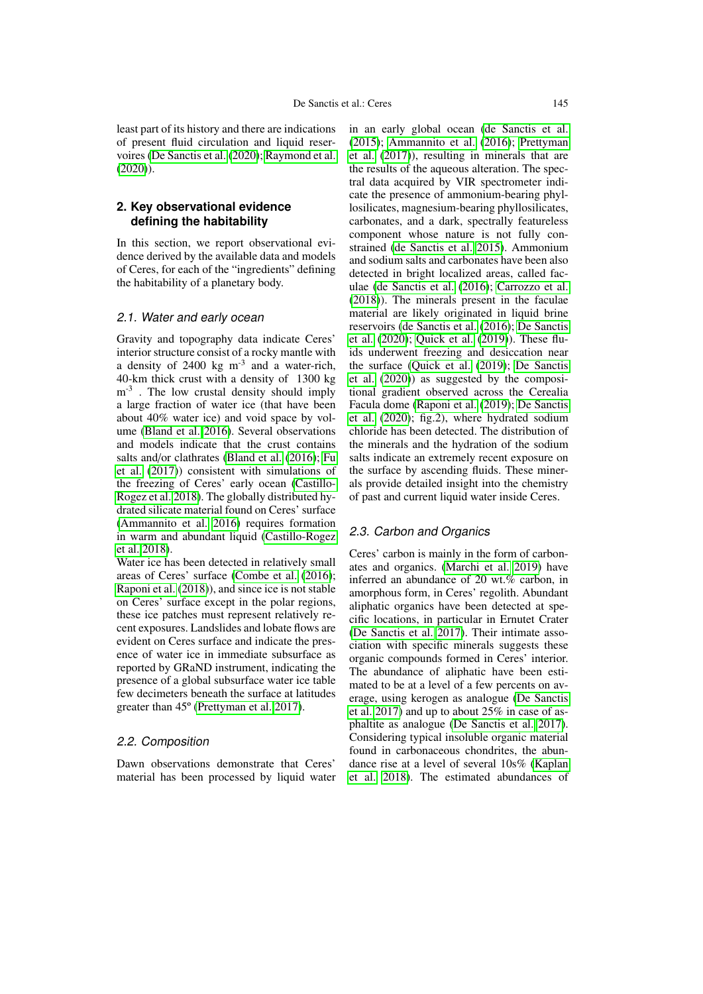least part of its history and there are indications of present fluid circulation and liquid reservoires [\(De Sanctis et al.](#page-3-8) [\(2020\)](#page-3-8); [Raymond et al.](#page-3-9) [\(2020\)](#page-3-9)).

#### **2. Key observational evidence defining the habitability**

In this section, we report observational evidence derived by the available data and models of Ceres, for each of the "ingredients" defining the habitability of a planetary body.

#### 2.1. Water and early ocean

Gravity and topography data indicate Ceres' interior structure consist of a rocky mantle with a density of  $2400 \text{ kg m}^{-3}$  and a water-rich, 40-km thick crust with a density of 1300 kg  $m<sup>-3</sup>$ . The low crustal density should imply a large fraction of water ice (that have been about 40% water ice) and void space by volume [\(Bland et al. 2016\)](#page-3-3). Several observations and models indicate that the crust contains salts and/or clathrates [\(Bland et al.](#page-3-3) [\(2016\)](#page-3-3); [Fu](#page-3-2) [et al.](#page-3-2) [\(2017\)](#page-3-2)) consistent with simulations of the freezing of Ceres' early ocean [\(Castillo-](#page-3-10)[Rogez et al. 2018\)](#page-3-10). The globally distributed hydrated silicate material found on Ceres' surface [\(Ammannito et al. 2016\)](#page-3-5) requires formation in warm and abundant liquid [\(Castillo-Rogez](#page-3-10) [et al. 2018\)](#page-3-10).

Water ice has been detected in relatively small areas of Ceres' surface [\(Combe et al.](#page-3-11) [\(2016\)](#page-3-11); [Raponi et al.](#page-3-12) [\(2018\)](#page-3-12)), and since ice is not stable on Ceres' surface except in the polar regions, these ice patches must represent relatively recent exposures. Landslides and lobate flows are evident on Ceres surface and indicate the presence of water ice in immediate subsurface as reported by GRaND instrument, indicating the presence of a global subsurface water ice table few decimeters beneath the surface at latitudes greater than 45º [\(Prettyman et al. 2017\)](#page-3-13).

### 2.2. Composition

Dawn observations demonstrate that Ceres' material has been processed by liquid water in an early global ocean [\(de Sanctis et al.](#page-3-4) [\(2015\)](#page-3-4); [Ammannito et al.](#page-3-5) [\(2016\)](#page-3-5); [Prettyman](#page-3-13) [et al.](#page-3-13) [\(2017\)](#page-3-13)), resulting in minerals that are the results of the aqueous alteration. The spectral data acquired by VIR spectrometer indicate the presence of ammonium-bearing phyllosilicates, magnesium-bearing phyllosilicates, carbonates, and a dark, spectrally featureless component whose nature is not fully constrained [\(de Sanctis et al. 2015\)](#page-3-4). Ammonium and sodium salts and carbonates have been also detected in bright localized areas, called faculae [\(de Sanctis et al.](#page-3-7) [\(2016\)](#page-3-7); [Carrozzo et al.](#page-3-14) [\(2018\)](#page-3-14)). The minerals present in the faculae material are likely originated in liquid brine reservoirs [\(de Sanctis et al.](#page-3-7) [\(2016\)](#page-3-7); [De Sanctis](#page-3-8) [et al.](#page-3-8) [\(2020\)](#page-3-8); [Quick et al.](#page-3-15) [\(2019\)](#page-3-15)). These fluids underwent freezing and desiccation near the surface [\(Quick et al.](#page-3-15) [\(2019\)](#page-3-15); [De Sanctis](#page-3-8) [et al.](#page-3-8) [\(2020\)](#page-3-8)) as suggested by the compositional gradient observed across the Cerealia Facula dome [\(Raponi et al.](#page-3-16) [\(2019\)](#page-3-16); [De Sanctis](#page-3-8) [et al.](#page-3-8) [\(2020\)](#page-3-8); fig.2), where hydrated sodium chloride has been detected. The distribution of the minerals and the hydration of the sodium salts indicate an extremely recent exposure on the surface by ascending fluids. These minerals provide detailed insight into the chemistry of past and current liquid water inside Ceres.

#### 2.3. Carbon and Organics

Ceres' carbon is mainly in the form of carbonates and organics. [\(Marchi et al. 2019\)](#page-3-17) have inferred an abundance of 20 wt.% carbon, in amorphous form, in Ceres' regolith. Abundant aliphatic organics have been detected at specific locations, in particular in Ernutet Crater [\(De Sanctis et al. 2017\)](#page-3-18). Their intimate association with specific minerals suggests these organic compounds formed in Ceres' interior. The abundance of aliphatic have been estimated to be at a level of a few percents on average, using kerogen as analogue [\(De Sanctis](#page-3-18) [et al. 2017\)](#page-3-18) and up to about 25% in case of asphaltite as analogue [\(De Sanctis et al. 2017\)](#page-3-18). Considering typical insoluble organic material found in carbonaceous chondrites, the abundance rise at a level of several 10s% [\(Kaplan](#page-3-19) [et al. 2018\)](#page-3-19). The estimated abundances of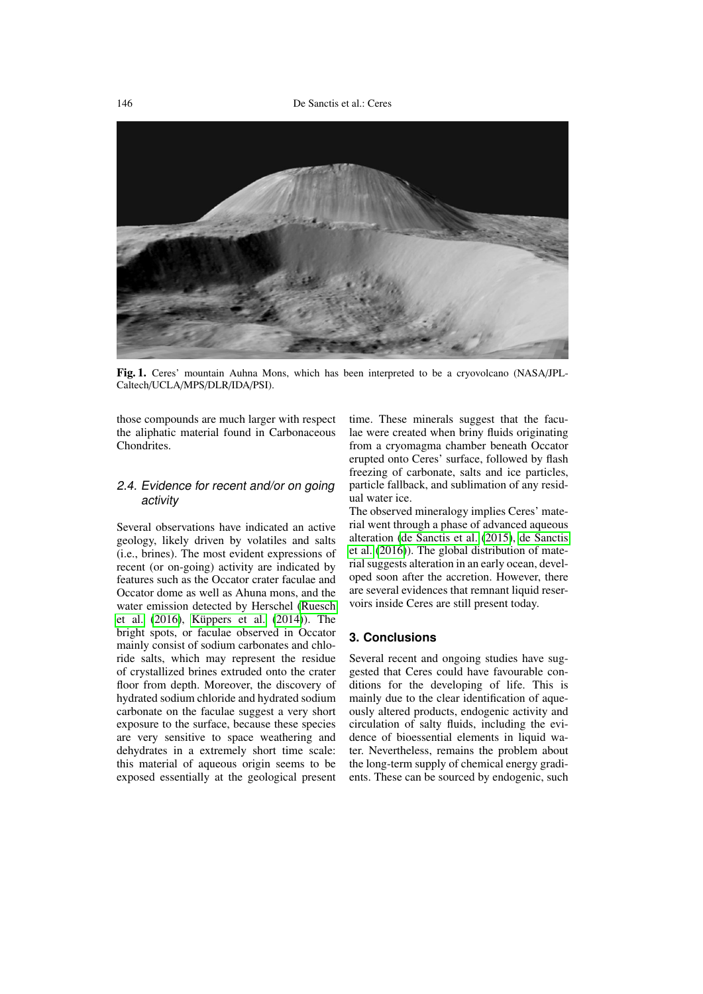

Fig. 1. Ceres' mountain Auhna Mons, which has been interpreted to be a cryovolcano (NASA/JPL-Caltech/UCLA/MPS/DLR/IDA/PSI).

those compounds are much larger with respect the aliphatic material found in Carbonaceous Chondrites.

## 2.4. Evidence for recent and/or on going activity

Several observations have indicated an active geology, likely driven by volatiles and salts (i.e., brines). The most evident expressions of recent (or on-going) activity are indicated by features such as the Occator crater faculae and Occator dome as well as Ahuna mons, and the water emission detected by Herschel [\(Ruesch](#page-3-6) [et al.](#page-3-6)  $(2016)$ , Küppers et al.  $(2014)$ ). The bright spots, or faculae observed in Occator mainly consist of sodium carbonates and chloride salts, which may represent the residue of crystallized brines extruded onto the crater floor from depth. Moreover, the discovery of hydrated sodium chloride and hydrated sodium carbonate on the faculae suggest a very short exposure to the surface, because these species are very sensitive to space weathering and dehydrates in a extremely short time scale: this material of aqueous origin seems to be exposed essentially at the geological present time. These minerals suggest that the faculae were created when briny fluids originating from a cryomagma chamber beneath Occator erupted onto Ceres' surface, followed by flash freezing of carbonate, salts and ice particles, particle fallback, and sublimation of any residual water ice.

The observed mineralogy implies Ceres' material went through a phase of advanced aqueous alteration [\(de Sanctis et al.](#page-3-4) [\(2015\)](#page-3-4), [de Sanctis](#page-3-7) [et al.](#page-3-7) [\(2016\)](#page-3-7)). The global distribution of material suggests alteration in an early ocean, developed soon after the accretion. However, there are several evidences that remnant liquid reservoirs inside Ceres are still present today.

### **3. Conclusions**

Several recent and ongoing studies have suggested that Ceres could have favourable conditions for the developing of life. This is mainly due to the clear identification of aqueously altered products, endogenic activity and circulation of salty fluids, including the evidence of bioessential elements in liquid water. Nevertheless, remains the problem about the long-term supply of chemical energy gradients. These can be sourced by endogenic, such